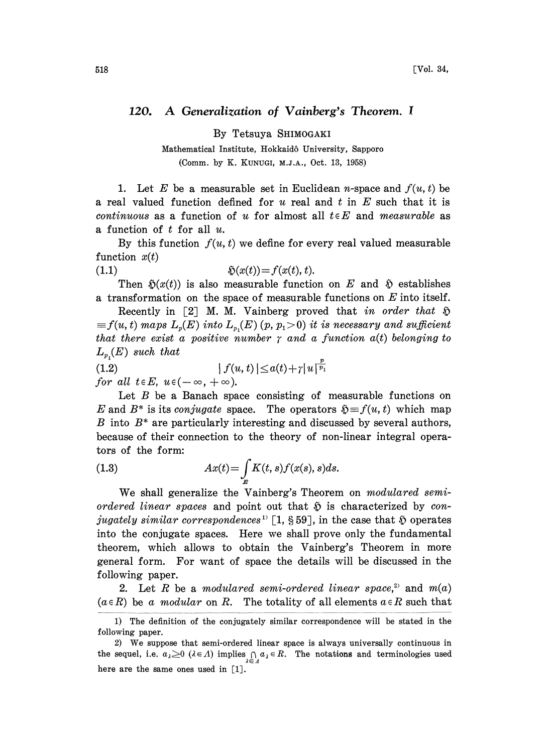## 120. A Generalization of Vainberg's Theorem.

By Tetsuya SHIMOGAKI

Mathematical Institute, Hokkaid6 University, Sapporo (Comm. by K. KUNUGI, M.J.&., Oct. 13, 1958)

1. Let E be a measurable set in Euclidean *n*-space and  $f(u, t)$  be a real valued function defined for  $u$  real and  $t$  in  $E$  such that it is continuous as a function of u for almost all  $t \in E$  and measurable as a function of  $t$  for all  $u$ .

By this function  $f(u, t)$  we define for every real valued measurable function  $x(t)$ 

$$
(1.1) \t\t\t\t\t\tilde{\mathfrak{D}}(x(t)) = f(x(t), t).
$$

Then  $\mathfrak{H}(x(t))$  is also measurable function on E and  $\mathfrak{H}$  establishes a transformation on the space of measurable functions on  $E$  into itself.

Recently in [2] M. M. Vainberg proved that in order that  $\mathfrak H$  $f(x, t)$  maps  $L_p(E)$  into  $L_{p_1}(E)$  (p, p<sub>1</sub>>0) it is necessary and sufficient that there exist a positive number  $\gamma$  and a function  $a(t)$  belonging to  $L_{p}(E)$  such that

 $L_{p_1}(E)$  such that  $|f(u, t)| \leq a(t)$ (1.2)  $|f(t)|$ <br>for all  $t \in E$ ,  $u \in (-\infty, +\infty)$ .

 $+\gamma |u|^{\frac{\nu}{p_1}}$ <br>ing of Let  $B$  be a Banach space consisting of measurable functions on E and B<sup>\*</sup> is its conjugate space. The operators  $\mathfrak{H} = f(u, t)$  which map  $B$  into  $B^*$  are particularly interesting and discussed by several authors, because of their connection to the theory of non-linear integral operators of the form:

(1.3) 
$$
Ax(t) = \int_{\mathbb{R}} K(t, s) f(x(s), s) ds.
$$

We shall generalize the Vainberg's Theorem on modulared semiordered linear spaces and point out that  $\tilde{p}$  is characterized by conjugately similar correspondences<sup>1</sup> [1, §59], in the case that  $\tilde{v}$  operates into the conjugate spaces. Here we shall prove only the fundamental theorem, which allows to obtain the Vainberg's Theorem in more general form. For want of space the details will be discussed in the following paper.

2. Let R be a modulared semi-ordered linear space,<sup>2</sup> and  $m(a)$  $(a \in R)$  be a modular on R. The totality of all elements  $a \in R$  such that

<sup>1)</sup> The definition of the conjugately similar correspondence will be stated in the following paper.

<sup>2)</sup> We suppose that semi-ordered linear space is always universally continuous in the sequel, i.e.  $a_{\lambda} \geq 0$  ( $\lambda \in \Lambda$ ) implies  $\bigcap_{\lambda \in \Lambda} a_{\lambda} \in R$ . The notations and terminologies used here are the same ones used in [1].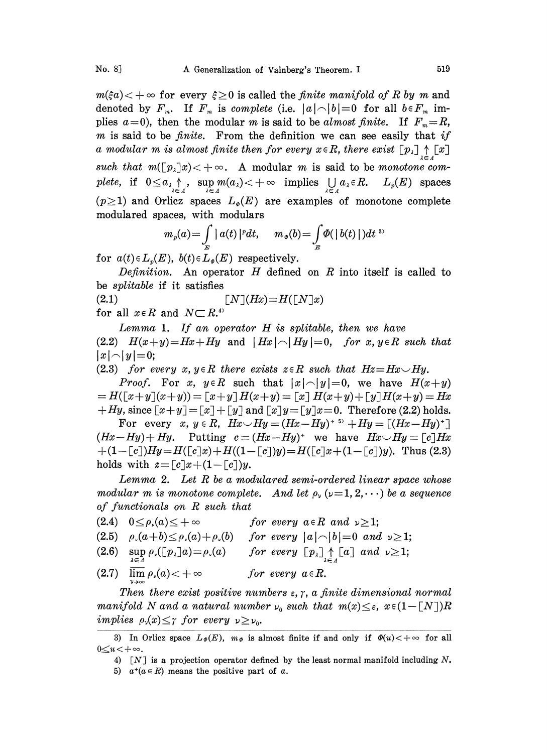$m(\xi a) < +\infty$  for every  $\xi \geq 0$  is called the *finite manifold of R by m* and denoted by  $F_m$ . If  $F_m$  is complete (i.e.  $|a| \neg |b| = 0$  for all  $b \in F_m$  implies  $a=0$ ), then the modular m is said to be almost finite. If  $F_m=R$ ,  $m$  is said to be *finite*. From the definition we can see easily that if a modular m is almost finite then for every  $x \in R$ , there exist  $[p_1] \uparrow [x]$ such that  $m([p<sub>\lambda</sub>]x) < +\infty$ . A modular m is said to be monotone comsuch that  $m(\lfloor p_\lambda \rfloor x) < +\infty$ . A modular *m* is said to be *monotone con-*<br>plete, if  $0 \le a_\lambda \uparrow$ , sup  $m(a_\lambda) < +\infty$  implies  $\bigcup_{\lambda \in \Lambda} a_\lambda \in R$ .  $L_p(E)$  spaces  $(p\geq 1)$  and Orlicz spaces  $L_{\varphi}(E)$  are examples of monotone complete modulared spaces, with modulars

$$
m_p(a) = \int\limits_E |a(t)|^p dt, \quad m_{\phi}(b) = \int\limits_E \Phi(|b(t)|^p) dt
$$

for  $a(t) \in L_p(E)$ ,  $b(t) \in L_p(E)$  respectively.

Definition. An operator  $H$  defined on  $R$  into itself is called to be *splitable* if it satisfies

(2.1)  $[N](Hx) = H([N]x)$ <br>for all  $x \in R$  and  $N \subset R$ .<sup>4)</sup>

Lemma 1. If an operator  $H$  is splitable, then we have (2.2)  $H(x+y)=Hx+Hy$  and  $|Hx| \frown |Hy|=0$ , for x,  $y \in R$  such that  $|x| \cap |y| = 0;$ 

(2.3) for every x,  $y \in R$  there exists  $z \in R$  such that  $Hz = Hx \cup Hy$ .

*Proof.* For x,  $y \in R$  such that  $|x| \cap |y| = 0$ , we have  $H(x+y)$  $=H([x+y](x+y))=[x+y]H(x+y)=[x]H(x+y)+[y]H(x+y)=Hx$  $+Hy$ , since  $[x+y] = [x] + [y]$  and  $[x]y = [y]x = 0$ . Therefore (2.2) holds.

For every x,  $y \in R$ ,  $Hx \smile Hy = (Hx - Hy)^{+5} + Hy = [(Hx - Hy)^{+}]$  $(Hx-Hy)+Hy.$  Putting  $c=(Hx-Hy)^*$  we have  $Hx\smile Hy=[c]Hx$  $+(1-[c])Hy=H([c]x)+H((1-[c])y)=H([c]x+(1-[c])y).$  Thus (2.3) holds with  $z = [c]x + (1 - [c])y$ .

Lemma 2. Let  $R$  be a modulared semi-ordered linear space whose modular m is monotone complete. And let  $\rho_{\nu} (\nu=1, 2, \cdots)$  be a sequence of functionals on R such that

- $(2.4)$   $0 \leq \rho_{\nu}(a) \leq +\infty$ for every  $a \in R$  and  $\nu \geq 1$ ;
- $(2.5)$   $\rho_{\nu}(a+b) \leq \rho_{\nu}(a) + \rho_{\nu}(b)$  for every  $|a| \neg |b| = 0$  and  $\nu \geq 1$ ;
- (2.6)  $\sup_{\alpha} \rho_{\nu}([p_{\lambda}]a) = \rho_{\nu}(a)$  for every  $[p_{\lambda}] \uparrow [a]$  and  $\nu \geq 1$ ;
- (2.7)  $\lim_{a \to \infty} \rho_s(a) < +\infty$ for every  $a \in R$ .

Then there exist positive numbers  $\varepsilon$ ,  $\gamma$ , a finite dimensional normal manifold N and a natural number  $\nu_0$  such that  $m(x) \leq \varepsilon$ ,  $x \in (1-[N])R$ implies  $\rho_{\nu}(x) \leq \gamma$  for every  $\nu \geq \nu_{0}$ .

<sup>3)</sup> In Orlicz space  $L_{\varPhi}(E)$ ,  $m_{\varPhi}$  is almost finite if and only if  $\varPhi(u) < +\infty$  for all  $0 \le u < +\infty$ .

<sup>4)</sup>  $\lceil N \rceil$  is a projection operator defined by the least normal manifold including N.

<sup>5)</sup>  $a^+(a \in R)$  means the positive part of a.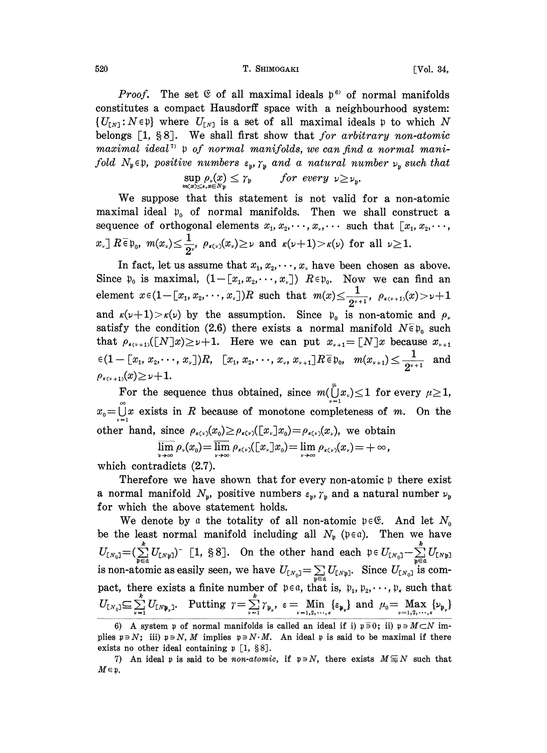## 520 T. SHIMOGAKI [Vol. 34,

Proof. The set  $\mathfrak C$  of all maximal ideals  $\mathfrak p^{\mathfrak s}$  of normal manifolds constitutes a compact Hausdorff space with a neighbourhood system:  $\{U_{[N]} : N \in \mathfrak{p}\}\$  where  $U_{[N]}$  is a set of all maximal ideals p to which N belongs  $[1, §8]$ . We shall first show that for arbitrary non-atomic maximal ideal<sup>7</sup>  $\mathfrak p$  of normal manifolds, we can find a normal manifold  $N_{\mathfrak{p}} \in \mathfrak{p}$ , positive numbers  $\varepsilon_{\mathfrak{p}}$ ,  $\gamma_{\mathfrak{p}}$  and a natural number  $\nu_{\mathfrak{p}}$  such that

$$
\sup_{m(x)\leq \epsilon,\, x\in N_{\mathfrak{p}}} \rho_{\nu}(x) \leq \gamma_{\mathfrak{p}} \quad \text{for every } \nu \geq \nu_{\mathfrak{p}}.
$$

We suppose that this statement is not valid for <sup>a</sup> non-atomic maximal ideal  $\mathfrak{p}_0$  of normal manifolds. Then we shall construct a sequence of orthogonal elements  $x_1, x_2, \dots, x_r, \dots$  such that  $[x_1, x_2, \dots, x_r]$  $x\in\mathbb{R}$ ,  $\forall x\in\mathbb{R}$ ,  $m(x) \leq \frac{1}{2}$ ,  $\rho_{\kappa(\nu)}(x) \geq \nu$  and  $\kappa(\nu+1) > \kappa(\nu)$  for all  $\nu \geq 1$ .

In fact, let us assume that  $x_1, x_2, \dots, x_r$  have been chosen as above. Since  $\mathfrak{p}_0$  is maximal,  $(1-[x_1,x_2,\cdots,x_r])$   $R\in\mathfrak{p}_0$ . Now we can find an element  $x \in (1 - [x_1, x_2, \dots, x_n])R$  such that  $m(x) \leq \frac{1}{2^{p+1}}$ ,  $\rho_{x(y+1)}(x) > \nu+1$ and  $\kappa(\nu+1) > \kappa(\nu)$  by the assumption. Since  $\mathfrak{p}_0$  is non-atomic and  $\rho$ , satisfy the condition (2.6) there exists a normal manifold  $N\bar{\epsilon}p_0$  such that  $\rho_{\kappa(\nu+1)}([N]x) \geq \nu+1$ . Here we can put  $x_{\nu+1}=[N]x$  because  $x_{\nu+1}$  $\mathcal{E}(\mathbb{1}-\llbracket x_1, x_2, \cdots, x_{\nu} \rrbracket)R, \ \ \llbracket x_1, x_2, \cdots, x_{\nu}, x_{\nu+1} \rrbracket R \in \mathfrak{p}_0, \ \ m(x_{\nu+1}) \leq \frac{1}{2^{\nu+1}} \ \ \text{ and }$  $\rho_{\kappa(\nu+1)}(x) \geq \nu+1.$ 

For the sequence thus obtained, since  $m(\bigcup_{i=1}^{\mu} x_i) \leq 1$  for every  $\mu \geq 1$ ,  $x_0 = \bigcup_{k=0}^{\infty} x$  exists in R because of monotone completeness of m. On the other hand, since  $\rho_{\kappa(\nu)}(x_0) \ge \rho_{\kappa(\nu)}([x,\cdot]x_0) = \rho_{\kappa(\nu)}(x_\nu)$ , we obtain

 $\overline{\lim_{\nu \to \infty}} \rho_{\nu}(x_0) = \overline{\lim_{\nu \to \infty}} \rho_{\kappa(\nu)}(\llbracket x_{\nu} \rrbracket x_0) = \lim_{\nu \to \infty} \rho_{\kappa(\nu)}(x_{\nu}) = +\infty,$ 

which contradicts (2.7).

Therefore we have shown that for every non-atomic  $\nu$  there exist a normal manifold  $N_{\mathfrak{p}}$ , positive numbers  $\varepsilon_{\mathfrak{p}}$ ,  $\gamma_{\mathfrak{p}}$  and a natural number  $\nu_{\mathfrak{p}}$ for which the above statement holds.

We denote by a the totality of all non-atomic  $p \in \mathfrak{E}$ . And let  $N_0$ be the least normal manifold including all  $N_p$  ( $p \in \alpha$ ). Then we have  $U_{[N_0]} = (\sum_{k=0}^k U_{[N_k]})$  [1, §8]. On the other hand each  $\mathfrak{p} \in U_{[N_0]} - \sum_{k=0}^k U_{[N_k]}$ is non-atomic as easily seen, we have  $U_{[N_0]} = \sum_{\mathfrak{p} \in \mathfrak{a}} U_{[N_0]}$ . Since  $U_{[N_0]}$  is compact, there exists a finite number of  $p \in \alpha$ , that is,  $p_1, p_2, \dots, p_r$  such that  $U_{[N_0]}\subseteq \sum_{\nu=1}^k U_{[N\mathfrak{p}_\nu]}.$  Putting  $\gamma = \sum_{\nu=1}^k \gamma_{\mathfrak{p}_\nu}, \varepsilon = \underset{\nu=1,2,\cdots,k}{\text{Min}} \{\varepsilon_{\mathfrak{p}_\nu}\}$  and  $\mu_0 = \underset{\nu=1,2,\cdots,k}{\text{Max}}$ 

<sup>6)</sup> A system p of normal manifolds is called an ideal if i)  $p \equiv 0$ ; ii)  $p \equiv M \subset N$  implies  $p \ni N$ ; iii)  $p \ni N$ , M implies  $p \ni N \cdot M$ . An ideal p is said to be maximal if there exists no other ideal containing  $\mathfrak{p}$  [1, §8].

<sup>7)</sup> An ideal p is said to be non-atomic, if  $p \ni N$ , there exists  $M \equiv N$  such that  $M \in \mathfrak{p}$ .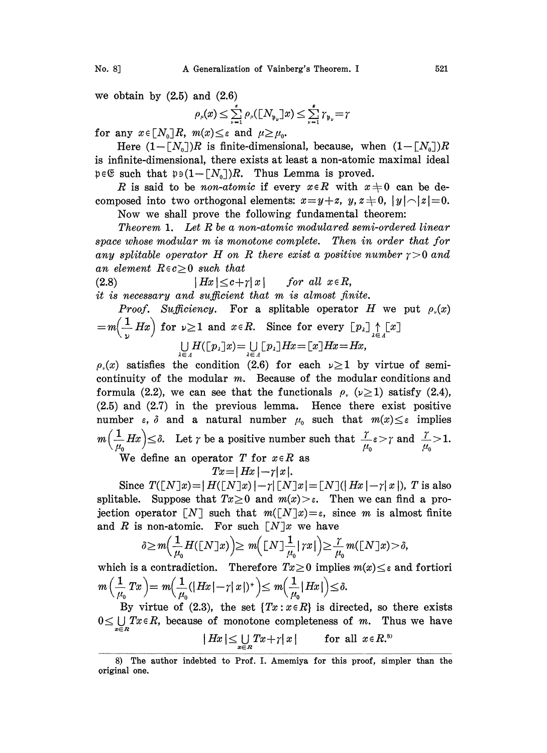we obtain by  $(2.5)$  and  $(2.6)$ 

$$
\rho_{\mu}(x) \leq \sum_{\nu=1}^{\kappa} \rho_{\mu}([N_{\mathfrak{p}_{\nu}}]x) \leq \sum_{\nu=1}^{\kappa} \gamma_{\mathfrak{p}_{\nu}} = r
$$

for any  $x \in [N_0]R$ ,  $m(x) \leq \varepsilon$  and  $\mu \geq \mu_0$ .

Here  $(1-[N_0])R$  is finite-dimensional, because, when  $(1-[N_0])R$ is infinite-dimensional, there exists at least a non-atomic maximal ideal  $\mathfrak{p} \in \mathfrak{S}$  such that  $\mathfrak{p} \in (1-[N_0])R$ . Thus Lemma is proved.

R is said to be non-atomic if every  $x \in R$  with  $x \neq 0$  can be decomposed into two orthogonal elements:  $x=y+z$ ,  $y, z\neq0$ ,  $|y| \frown |z|=0$ . Now we shall prove the following fundamental theorem:

Theorem 1. Let R be a non-atomic modulared semi-ordered linear space whose modular m is monotone complete. Then in order that for any splitable operator H on R there exist a positive number  $\gamma > 0$  and an element  $R \in c > 0$  such that

(2.8)  $|Hx| \leq c + \gamma |x|$  for all  $x \in R$ ,

 $it$  is necessary and sufficient that  $m$  is almost finite.

*Proof.* Sufficiency. For a splitable operator 
$$
H
$$
 we put  $\rho_r(x)$   
=  $m\left(\frac{1}{\nu}Hx\right)$  for  $\nu \ge 1$  and  $x \in R$ . Since for every  $\left[p_{\lambda}\right] \uparrow \left[x\right]$   

$$
\bigcup_{\lambda \in \Lambda} H(\left[p_{\lambda}\right]x) = \bigcup_{\lambda \in \Lambda} \left[p_{\lambda}\right]Hx = \left[x\right]Hx = Hx,
$$

 $\rho(x)$  satisfies the condition (2.6) for each  $\nu \geq 1$  by virtue of semicontinuity of the modular m. Because of the modular conditions and formula (2.2), we can see that the functionals  $\rho_r$  ( $\nu \ge 1$ ) satisfy (2.4), (2.5) and (2.7) in the previous lemma. Hence there exist positive number  $\varepsilon$ ,  $\delta$  and a natural number  $\mu_0$  such that  $m(x) \leq \varepsilon$  implies  $m\left(\frac{1}{\mu_0}Hx\right) \leq \delta$ . Let  $\gamma$  be a positive number such that  $\frac{\gamma}{\mu_0} \varepsilon > \gamma$  and  $\frac{\gamma}{\mu_0} > 1$ .

We define an operator T for  $x \in R$  as

$$
Tx = |Hx| - \gamma |x|.
$$

Since  $T([N]x)=|H([N]x)|-r|[N]x|=[N](|Hx|-\tau|x|)$ , T is also<br>able. Suppose that  $Tx \ge 0$  and  $m(x) > \varepsilon$ . Then we can find a pro-<br>on operator [N] such that  $m([N]x)=\varepsilon$ , since m is almost finite<br>R is non-atomic. For such  $[N]x$  we ha splitable. Suppose that  $Tx \geq 0$  and  $m(x) > \varepsilon$ . Then we can find a projection operator  $\lceil N \rceil$  such that  $m(\lceil N \rceil x)=\varepsilon$ , since m is almost finite and R is non-atomic. For such  $\lceil N \rceil x$  we have

$$
\delta\!\geq\! m\!\Big(\frac{1}{\mu_0}H([\mathbf{N}]\mathbf{x})\Big)\!\geq m\!\Big([\mathbf{N}]\frac{1}{\mu_0}|\mathop{\uparrow}\! x|\Big)\!\geq\!\frac{\gamma}{\mu_0}m([\mathbf{N}]\mathbf{x})\!>\!\delta,
$$

which is a contradiction. Therefore  $Tx \geq 0$  implies  $m(x) \leq \varepsilon$  and fortiori  $m\left(\frac{1}{\mu_0}Tx\right) = m\left(\frac{1}{\mu_0}(|Hx|-\gamma|x|)^*\right) \leq m\left(\frac{1}{\mu_0}|Hx|\right) \leq \delta.$ 

By virtue of (2.3), the set  $\{Tx : x \in R\}$  is directed, so there exists  $0 \leq \bigcup_{n=0} T x \in R$ , because of monotone completeness of m. Thus we have

$$
|Hx| \leq \bigcup_{x \in R} Tx + \gamma |x| \qquad \text{for all } x \in R^{8}
$$

<sup>8)</sup> The author indebted to Prof. I. Amemiya for this proof, simpler than the original one.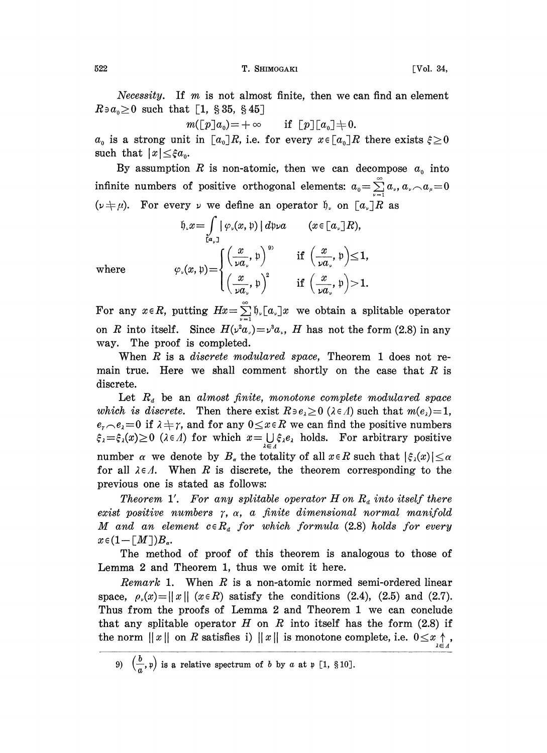522 T. SHIMOGAKI [Vol. 34,

*Necessity.* If  $m$  is not almost finite, then we can find an element  $R \ni a_0 \geq 0$  such that [1, § 35, § 45]

$$
m([\![p]\!]a_0) = +\infty \quad \text{if } [\![p]\!][a_0] \neq 0.
$$

 $+\infty$  if  $[p][a_0] \neq 0$ .<br>i.e. for every  $x \in [a_0]R$  $a_0$  is a strong unit in  $[a_0]R$ , i.e. for every  $x \in [a_0]R$  there exists  $\xi \geq 0$ such that  $|x| \leq \xi a_0$ .

By assumption R is non-atomic, then we can decompose  $a_0$  into infinite numbers of positive orthogonal elements:  $a_0 = \sum_{\nu=1}^{\infty} a_{\nu}$ ,  $a_{\nu}$ ,  $a_{\mu} = 0$  $(\nu + \mu)$ . For every  $\nu$  we define an operator  $\mathfrak{h}$ , on  $[a_{\nu}]R$  as

$$
\mathfrak{h}_{\cdot} x = \int_{\mathfrak{t}_{\alpha_{\nu}}} |\varphi_{\cdot}(x, \mathfrak{p})| d\mathfrak{p}_{\nu} a \qquad (x \in [\alpha_{\nu}] R),
$$
  

$$
\varphi_{\cdot}(x, \mathfrak{p}) = \begin{cases} \left(\frac{x}{\nu a_{\nu}}, \mathfrak{p}\right)^{\mathfrak{p}} & \text{if } \left(\frac{x}{\nu a_{\nu}}, \mathfrak{p}\right) \leq 1, \\ \left(\frac{x}{\nu a_{\nu}}, \mathfrak{p}\right)^{2} & \text{if } \left(\frac{x}{\nu a_{\nu}}, \mathfrak{p}\right) > 1. \end{cases}
$$

where

For any  $x \in R$ , putting  $Hx = \sum_{n=1}^{\infty} \varphi_n [a_n] x$  we obtain a splitable operator on R into itself. Since  $H(\nu^2 a_{\nu}) = \nu^3 a_{\nu}$ , H has not the form (2.8) in any way. The proof is completed.

When  $R$  is a *discrete modulared space*, Theorem 1 does not remain true. Here we shall comment shortly on the case that  $R$  is discrete.

Let  $R_d$  be an almost finite, monotone complete modulared space which is discrete. Then there exist  $R \ni e_{\lambda} \ge 0$  ( $\lambda \in \Lambda$ ) such that  $m(e_{\lambda}) = 1$ ,  $e_{\tau} \sim e_{\lambda} = 0$  if  $\lambda + \gamma$ , and for any  $0 \le x \in R$  we can find the positive numbers  $e_r \nightharpoonup e_s = 0$  if  $\lambda + \gamma$ , and for any  $0 \le x \in R$  we can find the positive numbers  $\xi_{\lambda} = \xi_{\lambda}(x) \ge 0$  ( $\lambda \in \Lambda$ ) for which  $x = \bigcup_{\lambda \in \Lambda} \xi_{\lambda}e_{\lambda}$  holds. For arbitrary positive number  $\alpha$  we denote by  $B_{\alpha}$  the totality of all  $x \in R$  such that  $|\xi_{\lambda}(x)| \leq \alpha$ for all  $\lambda \in \Lambda$ . When R is discrete, the theorem corresponding to the previous one is stated as follows:

Theorem 1'. For any splitable operator  $H$  on  $R_d$  into itself there exist positive numbers  $\gamma$ ,  $\alpha$ , a finite dimensional normal manifold M and an element  $c \in R_d$  for which formula (2.8) holds for every  $x \in (1-[M])B_\alpha.$ 

The method of proof of this theorem is analogous to those of Lemma 2 and Theorem 1, thus we omit it here.

*Remark* 1. When  $R$  is a non-atomic normed semi-ordered linear space,  $\rho_r(x) = ||x||$  ( $x \in R$ ) satisfy the conditions (2.4), (2.5) and (2.7). Thus from the proofs of Lemma 2 and Theorem <sup>1</sup> we can conclude that any splitable operator  $H$  on  $R$  into itself has the form (2.8) if the norm  $||x||$  on R satisfies i)  $||x||$  is monotone complete, i.e.  $0 \le x \underset{i \in A}{\uparrow}$ 

<sup>9)</sup>  $(\frac{b}{a},\mathfrak{p})$  is a relative spectrum of b by a at  $\mathfrak{p}$  [1, §10].